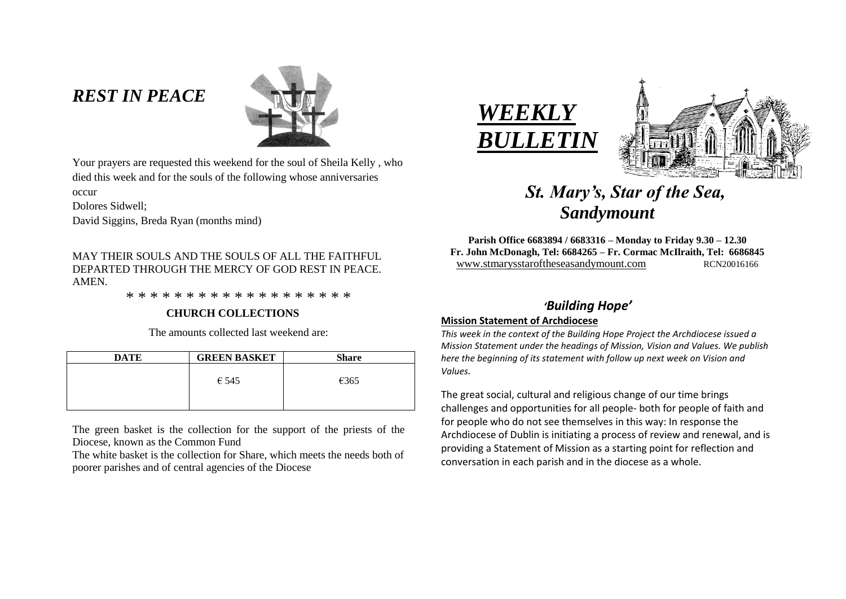# *REST IN PEACE*



Your prayers are requested this weekend for the soul of Sheila Kelly , who died this week and for the souls of the following whose anniversaries occur

Dolores Sidwell;

David Siggins, Breda Ryan (months mind)

MAY THEIR SOULS AND THE SOULS OF ALL THE FAITHFUL DEPARTED THROUGH THE MERCY OF GOD REST IN PEACE. **AMEN** 

\* \* \* \* \* \* \* \* \* \* \* \* \* \* \* \* \* \* \*

### **CHURCH COLLECTIONS**

The amounts collected last weekend are:

| <b>DATE</b> | <b>GREEN BASKET</b> | <b>Share</b> |
|-------------|---------------------|--------------|
|             | $\epsilon$ 545      | €365         |
|             |                     |              |

The green basket is the collection for the support of the priests of the Diocese, known as the Common Fund

The white basket is the collection for Share, which meets the needs both of poorer parishes and of central agencies of the Diocese





# *St. Mary's, Star of the Sea, Sandymount*

**Parish Office 6683894 / 6683316 – Monday to Friday 9.30 – 12.30 Fr. John McDonagh, Tel: 6684265 – Fr. Cormac McIlraith, Tel: 6686845** www.stmarysstaroftheseasandymount.com RCN20016166

## *'Building Hope'*

### **Mission Statement of Archdiocese**

*This week in the context of the Building Hope Project the Archdiocese issued a Mission Statement under the headings of Mission, Vision and Values. We publish here the beginning of its statement with follow up next week on Vision and Values.*

The great social, cultural and religious change of our time brings challenges and opportunities for all people- both for people of faith and for people who do not see themselves in this way: In response the Archdiocese of Dublin is initiating a process of review and renewal, and is providing a Statement of Mission as a starting point for reflection and conversation in each parish and in the diocese as a whole.